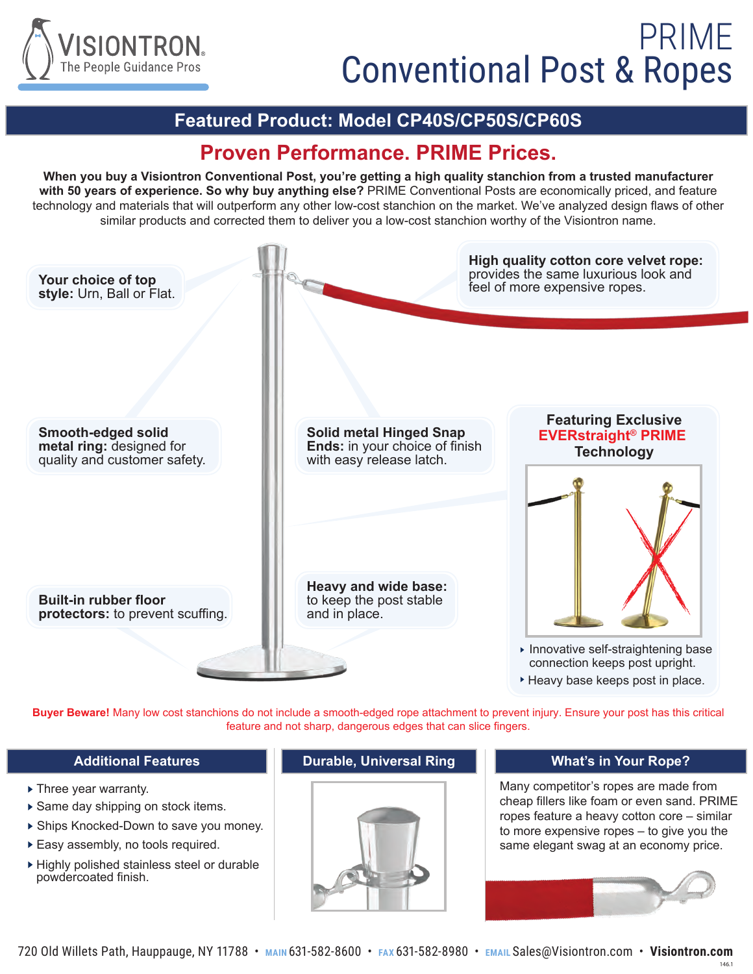

#### **Featured Product: Model CP40S/CP50S/CP60S**

### **Proven Performance. PRIME Prices.**

**When you buy a Visiontron Conventional Post, you're getting a high quality stanchion from a trusted manufacturer with 50 years of experience. So why buy anything else?** PRIME Conventional Posts are economically priced, and feature technology and materials that will outperform any other low-cost stanchion on the market. We've analyzed design flaws of other similar products and corrected them to deliver you a low-cost stanchion worthy of the Visiontron name.



**Buyer Beware!** Many low cost stanchions do not include a smooth-edged rope attachment to prevent injury. Ensure your post has this critical feature and not sharp, dangerous edges that can slice fingers.

- ▶ Three year warranty.
- ▶ Same day shipping on stock items.
- Ships Knocked-Down to save you money.
- Easy assembly, no tools required.
- Highly polished stainless steel or durable powdercoated finish.

#### **Additional Features Durable, Universal Ring**



#### **What's in Your Rope?**

Many competitor's ropes are made from cheap fillers like foam or even sand. PRIME ropes feature a heavy cotton core – similar to more expensive ropes – to give you the same elegant swag at an economy price.



146.1